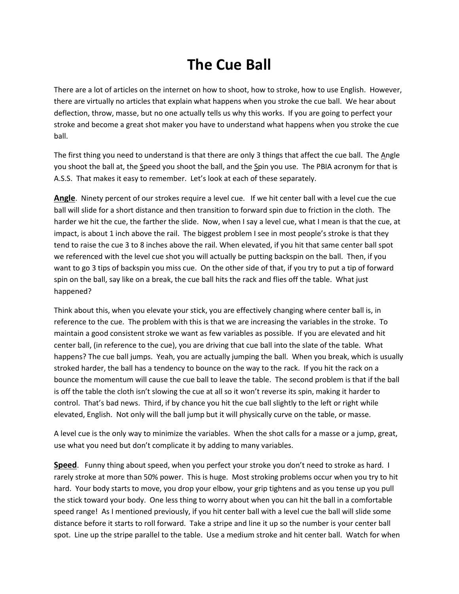## **The Cue Ball**

There are a lot of articles on the internet on how to shoot, how to stroke, how to use English. However, there are virtually no articles that explain what happens when you stroke the cue ball. We hear about deflection, throw, masse, but no one actually tells us why this works. If you are going to perfect your stroke and become a great shot maker you have to understand what happens when you stroke the cue ball.

The first thing you need to understand is that there are only 3 things that affect the cue ball. The Angle you shoot the ball at, the Speed you shoot the ball, and the Spin you use. The PBIA acronym for that is A.S.S. That makes it easy to remember. Let's look at each of these separately.

**Angle**. Ninety percent of our strokes require a level cue. If we hit center ball with a level cue the cue ball will slide for a short distance and then transition to forward spin due to friction in the cloth. The harder we hit the cue, the farther the slide. Now, when I say a level cue, what I mean is that the cue, at impact, is about 1 inch above the rail. The biggest problem I see in most people's stroke is that they tend to raise the cue 3 to 8 inches above the rail. When elevated, if you hit that same center ball spot we referenced with the level cue shot you will actually be putting backspin on the ball. Then, if you want to go 3 tips of backspin you miss cue. On the other side of that, if you try to put a tip of forward spin on the ball, say like on a break, the cue ball hits the rack and flies off the table. What just happened?

Think about this, when you elevate your stick, you are effectively changing where center ball is, in reference to the cue. The problem with this is that we are increasing the variables in the stroke. To maintain a good consistent stroke we want as few variables as possible. If you are elevated and hit center ball, (in reference to the cue), you are driving that cue ball into the slate of the table. What happens? The cue ball jumps. Yeah, you are actually jumping the ball. When you break, which is usually stroked harder, the ball has a tendency to bounce on the way to the rack. If you hit the rack on a bounce the momentum will cause the cue ball to leave the table. The second problem is that if the ball is off the table the cloth isn't slowing the cue at all so it won't reverse its spin, making it harder to control. That's bad news. Third, if by chance you hit the cue ball slightly to the left or right while elevated, English. Not only will the ball jump but it will physically curve on the table, or masse.

A level cue is the only way to minimize the variables. When the shot calls for a masse or a jump, great, use what you need but don't complicate it by adding to many variables.

**Speed**. Funny thing about speed, when you perfect your stroke you don't need to stroke as hard. I rarely stroke at more than 50% power. This is huge. Most stroking problems occur when you try to hit hard. Your body starts to move, you drop your elbow, your grip tightens and as you tense up you pull the stick toward your body. One less thing to worry about when you can hit the ball in a comfortable speed range! As I mentioned previously, if you hit center ball with a level cue the ball will slide some distance before it starts to roll forward. Take a stripe and line it up so the number is your center ball spot. Line up the stripe parallel to the table. Use a medium stroke and hit center ball. Watch for when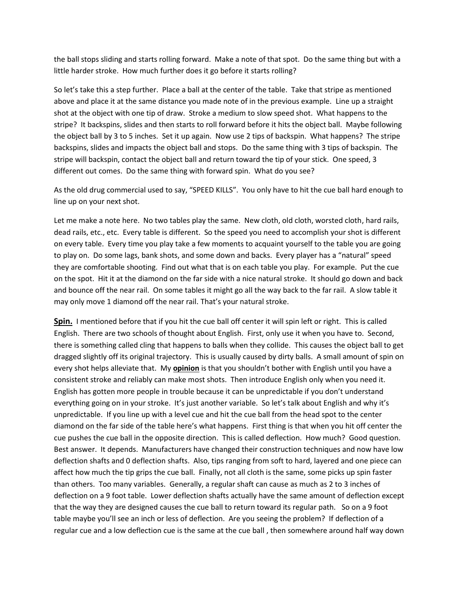the ball stops sliding and starts rolling forward. Make a note of that spot. Do the same thing but with a little harder stroke. How much further does it go before it starts rolling?

So let's take this a step further. Place a ball at the center of the table. Take that stripe as mentioned above and place it at the same distance you made note of in the previous example. Line up a straight shot at the object with one tip of draw. Stroke a medium to slow speed shot. What happens to the stripe? It backspins, slides and then starts to roll forward before it hits the object ball. Maybe following the object ball by 3 to 5 inches. Set it up again. Now use 2 tips of backspin. What happens? The stripe backspins, slides and impacts the object ball and stops. Do the same thing with 3 tips of backspin. The stripe will backspin, contact the object ball and return toward the tip of your stick. One speed, 3 different out comes. Do the same thing with forward spin. What do you see?

As the old drug commercial used to say, "SPEED KILLS". You only have to hit the cue ball hard enough to line up on your next shot.

Let me make a note here. No two tables play the same. New cloth, old cloth, worsted cloth, hard rails, dead rails, etc., etc. Every table is different. So the speed you need to accomplish your shot is different on every table. Every time you play take a few moments to acquaint yourself to the table you are going to play on. Do some lags, bank shots, and some down and backs. Every player has a "natural" speed they are comfortable shooting. Find out what that is on each table you play. For example. Put the cue on the spot. Hit it at the diamond on the far side with a nice natural stroke. It should go down and back and bounce off the near rail. On some tables it might go all the way back to the far rail. A slow table it may only move 1 diamond off the near rail. That's your natural stroke.

**Spin.** I mentioned before that if you hit the cue ball off center it will spin left or right. This is called English. There are two schools of thought about English. First, only use it when you have to. Second, there is something called cling that happens to balls when they collide. This causes the object ball to get dragged slightly off its original trajectory. This is usually caused by dirty balls. A small amount of spin on every shot helps alleviate that. My **opinion** is that you shouldn't bother with English until you have a consistent stroke and reliably can make most shots. Then introduce English only when you need it. English has gotten more people in trouble because it can be unpredictable if you don't understand everything going on in your stroke. It's just another variable. So let's talk about English and why it's unpredictable. If you line up with a level cue and hit the cue ball from the head spot to the center diamond on the far side of the table here's what happens. First thing is that when you hit off center the cue pushes the cue ball in the opposite direction. This is called deflection. How much? Good question. Best answer. It depends. Manufacturers have changed their construction techniques and now have low deflection shafts and 0 deflection shafts. Also, tips ranging from soft to hard, layered and one piece can affect how much the tip grips the cue ball. Finally, not all cloth is the same, some picks up spin faster than others. Too many variables. Generally, a regular shaft can cause as much as 2 to 3 inches of deflection on a 9 foot table. Lower deflection shafts actually have the same amount of deflection except that the way they are designed causes the cue ball to return toward its regular path. So on a 9 foot table maybe you'll see an inch or less of deflection. Are you seeing the problem? If deflection of a regular cue and a low deflection cue is the same at the cue ball , then somewhere around half way down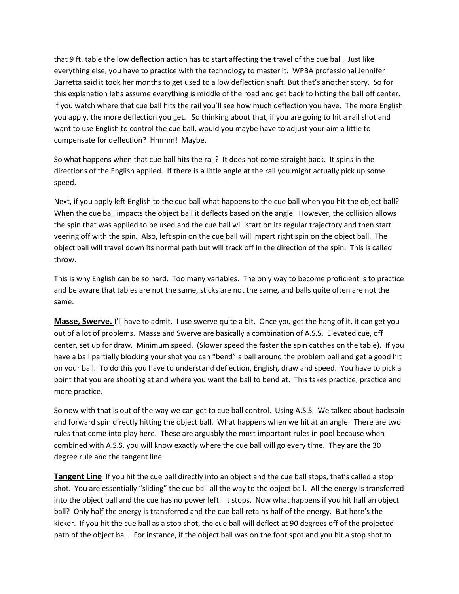that 9 ft. table the low deflection action has to start affecting the travel of the cue ball. Just like everything else, you have to practice with the technology to master it. WPBA professional Jennifer Barretta said it took her months to get used to a low deflection shaft. But that's another story. So for this explanation let's assume everything is middle of the road and get back to hitting the ball off center. If you watch where that cue ball hits the rail you'll see how much deflection you have. The more English you apply, the more deflection you get. So thinking about that, if you are going to hit a rail shot and want to use English to control the cue ball, would you maybe have to adjust your aim a little to compensate for deflection? Hmmm! Maybe.

So what happens when that cue ball hits the rail? It does not come straight back. It spins in the directions of the English applied. If there is a little angle at the rail you might actually pick up some speed.

Next, if you apply left English to the cue ball what happens to the cue ball when you hit the object ball? When the cue ball impacts the object ball it deflects based on the angle. However, the collision allows the spin that was applied to be used and the cue ball will start on its regular trajectory and then start veering off with the spin. Also, left spin on the cue ball will impart right spin on the object ball. The object ball will travel down its normal path but will track off in the direction of the spin. This is called throw.

This is why English can be so hard. Too many variables. The only way to become proficient is to practice and be aware that tables are not the same, sticks are not the same, and balls quite often are not the same.

**Masse, Swerve.** I'll have to admit. I use swerve quite a bit. Once you get the hang of it, it can get you out of a lot of problems. Masse and Swerve are basically a combination of A.S.S. Elevated cue, off center, set up for draw. Minimum speed. (Slower speed the faster the spin catches on the table). If you have a ball partially blocking your shot you can "bend" a ball around the problem ball and get a good hit on your ball. To do this you have to understand deflection, English, draw and speed. You have to pick a point that you are shooting at and where you want the ball to bend at. This takes practice, practice and more practice.

So now with that is out of the way we can get to cue ball control. Using A.S.S. We talked about backspin and forward spin directly hitting the object ball. What happens when we hit at an angle. There are two rules that come into play here. These are arguably the most important rules in pool because when combined with A.S.S. you will know exactly where the cue ball will go every time. They are the 30 degree rule and the tangent line.

**Tangent Line** If you hit the cue ball directly into an object and the cue ball stops, that's called a stop shot. You are essentially "sliding" the cue ball all the way to the object ball. All the energy is transferred into the object ball and the cue has no power left. It stops. Now what happens if you hit half an object ball? Only half the energy is transferred and the cue ball retains half of the energy. But here's the kicker. If you hit the cue ball as a stop shot, the cue ball will deflect at 90 degrees off of the projected path of the object ball. For instance, if the object ball was on the foot spot and you hit a stop shot to